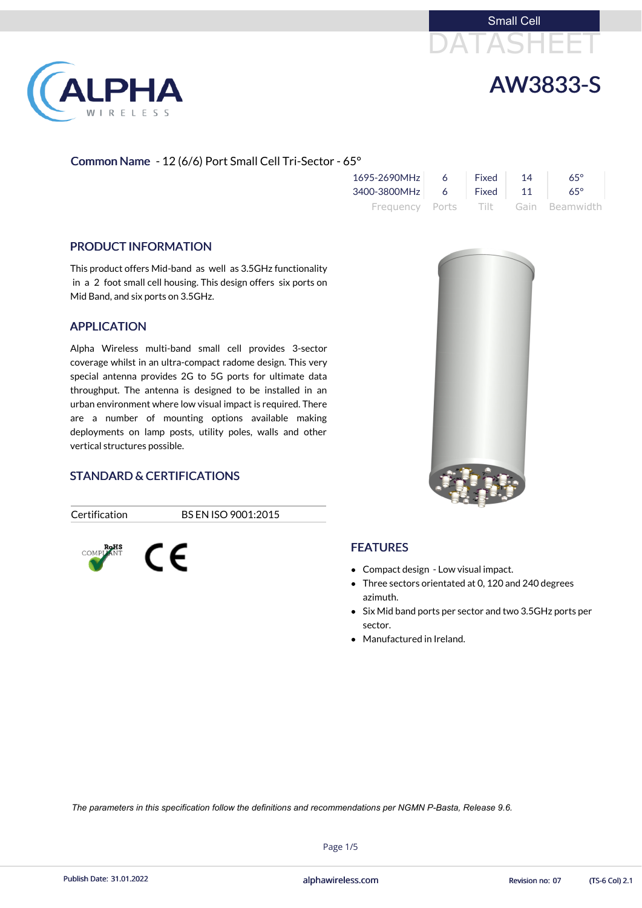



# AW3833-S

#### Common Name - 12 (6/6) Port Small Cell Tri-Sector - 65°

| 1695-2690MHz            | -6 | Fixed | 14 | $65^\circ$                          |
|-------------------------|----|-------|----|-------------------------------------|
| 3400-3800MHz 6 Fixed 11 |    |       |    | $65^\circ$                          |
|                         |    |       |    | Frequency Ports Tilt Gain Beamwidth |

#### PRODUCT INFORMATION

This product offers Mid-band as well as 3.5GHz functionality in a 2 foot small cell housing. This design offers six ports on Mid Band, and six ports on 3.5GHz.

#### APPLICATION

- Compact design Low visual impact.
- Three sectors orientated at 0, 120 and 240 degrees azimuth.
- Six Mid band ports per sector and two 3.5GHz ports per sector.
- Manufactured in Ireland.

Alpha Wireless multi-band small cell provides 3-sector coverage whilst in an ultra-compact radome design. This very special antenna provides 2G to 5G ports for ultimate data throughput. The antenna is designed to be installed in an urban environment where low visual impact is required. There are a number of mounting options available making deployments on lamp posts, utility poles, walls and other vertical structures possible.

#### STANDARD & CERTIFICATIONS

 $\epsilon$ 

COMPI

Certification BS EN ISO 9001:2015



#### **FEATURES**

Page 1/5

Publish Date: 31.01.2022 **Exercise States 2nd Alphawireless.com** Revision no: 07 (TS-6 Col) 2.1

*The parameters in this specification follow the definitions and recommendations per NGMN P-Basta, Release 9.6.*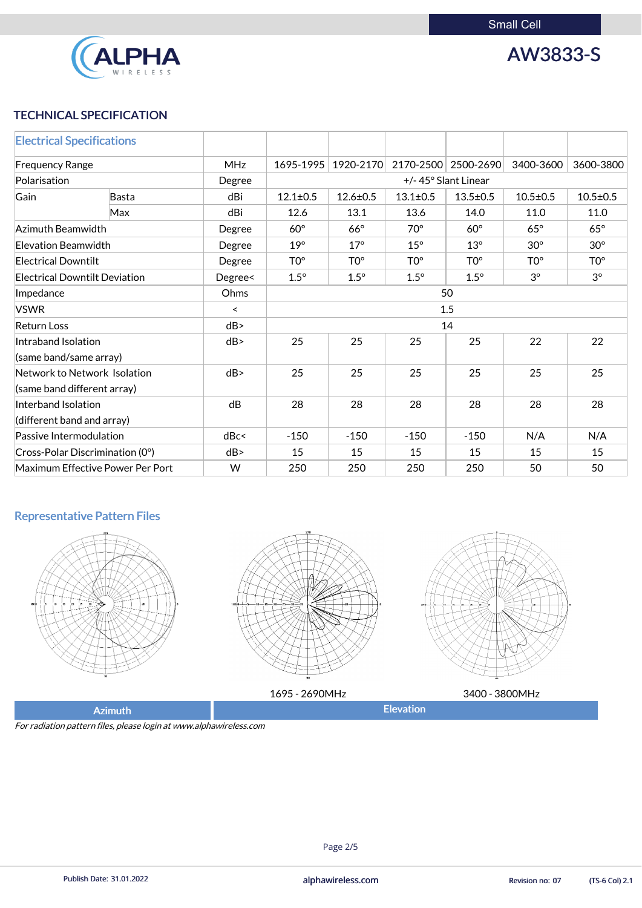

AW3833-S

## TECHNICAL SPECIFICATION

| <b>Electrical Specifications</b>     |              |         |                     |                 |                 |                     |                 |                 |
|--------------------------------------|--------------|---------|---------------------|-----------------|-----------------|---------------------|-----------------|-----------------|
| <b>MHz</b><br><b>Frequency Range</b> |              |         | 1695-1995           | 1920-2170       |                 | 2170-2500 2500-2690 | 3400-3600       | 3600-3800       |
| Polarisation                         |              | Degree  | +/-45° Slant Linear |                 |                 |                     |                 |                 |
| Gain                                 | <b>Basta</b> | dBi     | $12.1 \pm 0.5$      | $12.6 \pm 0.5$  | $13.1 \pm 0.5$  | $13.5 \pm 0.5$      | $10.5 \pm 0.5$  | $10.5 \pm 0.5$  |
|                                      | Max          | dBi     | 12.6                | 13.1            | 13.6            | 14.0                | 11.0            | 11.0            |
| Azimuth Beamwidth                    |              | Degree  | $60^\circ$          | $66^\circ$      | $70^\circ$      | $60^\circ$          | $65^\circ$      | $65^\circ$      |
| <b>Elevation Beamwidth</b>           |              | Degree  | $19^\circ$          | $17^\circ$      | $15^\circ$      | $13^\circ$          | $30^\circ$      | $30^\circ$      |
| <b>Electrical Downtilt</b>           |              | Degree  | TO <sup>o</sup>     | TO <sup>o</sup> | TO <sup>o</sup> | TO <sup>o</sup>     | TO <sup>o</sup> | TO <sup>o</sup> |
| <b>Electrical Downtilt Deviation</b> |              | Degree< | $1.5^\circ$         | $1.5^\circ$     | $1.5^\circ$     | $1.5^\circ$         | $3^{\circ}$     | $3^{\circ}$     |
| Impedance                            |              | Ohms    | 50                  |                 |                 |                     |                 |                 |
| <b>VSWR</b>                          |              | $\prec$ | 1.5                 |                 |                 |                     |                 |                 |
| <b>Return Loss</b>                   |              | dB      | 14                  |                 |                 |                     |                 |                 |
| Intraband Isolation                  |              | dB      | 25                  | 25              | 25              | 25                  | 22              | 22              |
| (same band/same array)               |              |         |                     |                 |                 |                     |                 |                 |
| Network to Network Isolation         |              | dB      | 25                  | 25              | 25              | 25                  | 25              | 25              |
| (same band different array)          |              |         |                     |                 |                 |                     |                 |                 |
| Interband Isolation                  |              | dB      | 28                  | 28              | 28              | 28                  | 28              | 28              |
| (different band and array)           |              |         |                     |                 |                 |                     |                 |                 |
| Passive Intermodulation              |              | dBc<    | $-150$              | $-150$          | $-150$          | $-150$              | N/A             | N/A             |
| Cross-Polar Discrimination (0°)      |              | dB      | 15                  | 15              | 15              | 15                  | 15              | 15              |
| Maximum Effective Power Per Port     |              | W       | 250                 | 250             | 250             | 250                 | 50              | 50              |

## Representative Pattern Files







|                | 1695 - 2690MHz | 3400 - 3800MHz |
|----------------|----------------|----------------|
| <b>Azimuth</b> |                | Elevation      |

For radiation pattern files, please login at www.alphawireless.com

Page 2/5

Publish Date: 31.01.2022 **Exercise States 2nd Alphawireless.com** Revision no: 07 (TS-6 Col) 2.1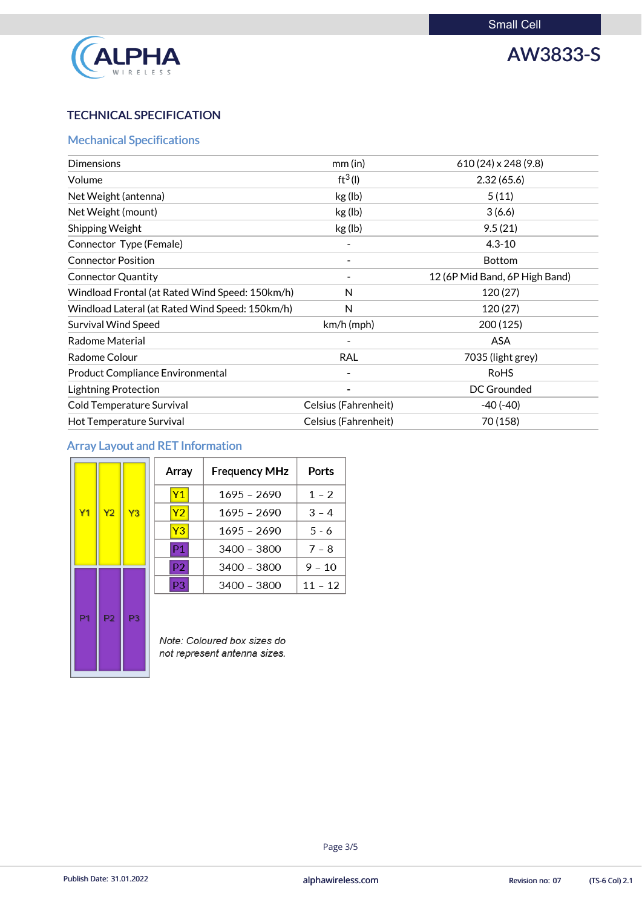

# AW3833-S

## TECHNICAL SPECIFICATION

## Mechanical Specifications

| <b>Dimensions</b>                               | $mm$ (in)            | $610(24) \times 248(9.8)$      |
|-------------------------------------------------|----------------------|--------------------------------|
| Volume                                          | $ft^3(1)$            | 2.32(65.6)                     |
| Net Weight (antenna)                            | kg (lb)              | 5(11)                          |
| Net Weight (mount)                              | kg (lb)              | 3(6.6)                         |
| <b>Shipping Weight</b>                          | kg (lb)              | 9.5(21)                        |
| Connector Type (Female)                         |                      | $4.3 - 10$                     |
| <b>Connector Position</b>                       |                      | <b>Bottom</b>                  |
| <b>Connector Quantity</b>                       |                      | 12 (6P Mid Band, 6P High Band) |
| Windload Frontal (at Rated Wind Speed: 150km/h) | N                    | 120(27)                        |
| Windload Lateral (at Rated Wind Speed: 150km/h) | N                    | 120(27)                        |
| <b>Survival Wind Speed</b>                      | $km/h$ (mph)         | 200(125)                       |
| <b>Radome Material</b>                          |                      | <b>ASA</b>                     |
| Radome Colour                                   | <b>RAL</b>           | 7035 (light grey)              |
| <b>Product Compliance Environmental</b>         |                      | <b>RoHS</b>                    |
| <b>Lightning Protection</b>                     |                      | <b>DC Grounded</b>             |
| <b>Cold Temperature Survival</b>                | Celsius (Fahrenheit) | $-40(-40)$                     |
| Hot Temperature Survival                        | Celsius (Fahrenheit) | 70 (158)                       |

## Array Layout and RET Information

|                |                |                | Array          | <b>Frequency MHz</b>    | Ports     |
|----------------|----------------|----------------|----------------|-------------------------|-----------|
|                |                |                | Y1             | 1695 - 2690             | $1 - 2$   |
| Y <sub>1</sub> | Y <sub>2</sub> | Y3             | Y2             | 1695 - 2690             | $3 - 4$   |
|                |                |                | Y <sub>3</sub> | 1695 - 2690             | $5 - 6$   |
|                |                |                | P <sub>1</sub> | 3400 - 3800             | $7 - 8$   |
|                |                |                | P <sub>2</sub> | 3400 - 3800             | $9 - 10$  |
|                |                |                | P <sub>3</sub> | $3400 - 3800$           | $11 - 12$ |
| P <sub>1</sub> | P <sub>2</sub> | P <sub>3</sub> |                | $N-l=0$ claims of $l=0$ |           |

Note: Coloured box sizes do not represent antenna sizes.

#### Page 3/5

Publish Date: 31.01.2022 **Exercise States 2nd Alphawireless.com** Revision no: 07 (TS-6 Col) 2.1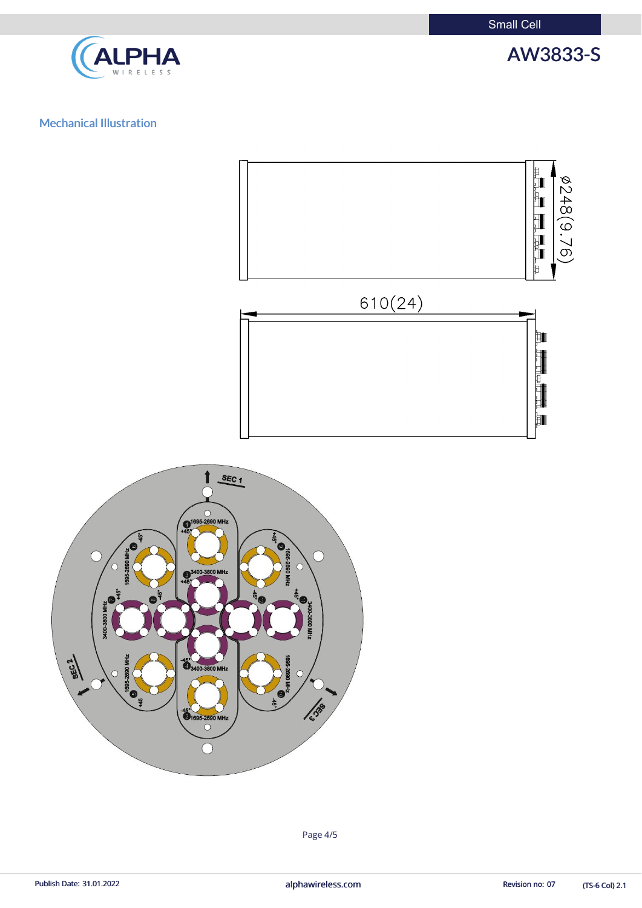Small Cell



AW3833-S

## Mechanical Illustration





(TS-6 Col) 2.1

Page 4/5

Publish Date: 31.01.2022 **alphawireless.com** and a series and a series of the Revision no: 07